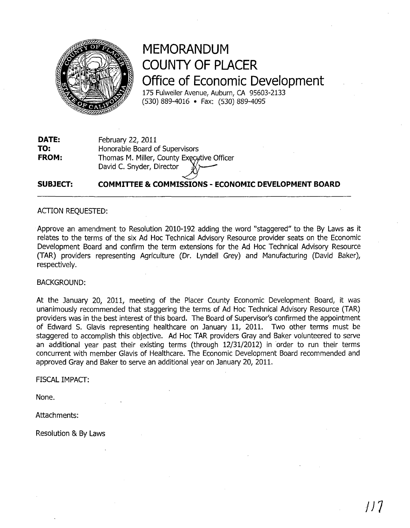

# **MEMORANDUM COUNTY OF PLACER Office of Economic Development**

175 Fulweiler Avenue, Auburn, CA 95603-2133 (530) 889-4016 • Fax: (530) *889-4095* 

**DATE: TO: FROM:**  February 22, 2011 Honorable Board of Supervisors Thomas M. Miller, County Executive Officer David C. Snyder, Director

#### **SUBJECT:**   $\lt$ **COMMITTEE & COMMISSIONS - ECONOMIC DEVELOPMENT BOARD**

### ACTION REQUESTED:

Approve an amendment to Resolution 2010-192 adding the word "staggered" to the By Laws as it relates to the terms of the six Ad Hoc Technical Advisory Resource provider seats on the Economic Development Board and confirm the term extensions for the Ad Hoc Technical Advisory Resource (TAR) providers representing Agriculture (Dr. Lyndell Grey) and Manufacturing (David Baker), respectively.

### BACKGROUND:

At the January 20, 2011, meeting of the Placer County Economic Development Board, it was unanimously recommended that staggering the terms of Ad Hoc Technical Advisory Resource (TAR) providers was in the best interest of this board. The Board of Supervisor's confirmed the appointment of Edward S. Glavis representing healthcare on January 11, 2011. Two other terms must be staggered to accomplish this objective. Ad Hoc TAR providers Gray and Baker volunteered to serve an additional year past their existing terms (through 12/31/2012) in 'order to run their terms concurrent with member Glavis of Healthcare. The Economic Development Board recommended and approved Gray and Baker to serve an additional year on January 20, 2011.

FISCAL IMPACT:

None.

Attachments:

Resolution & By Laws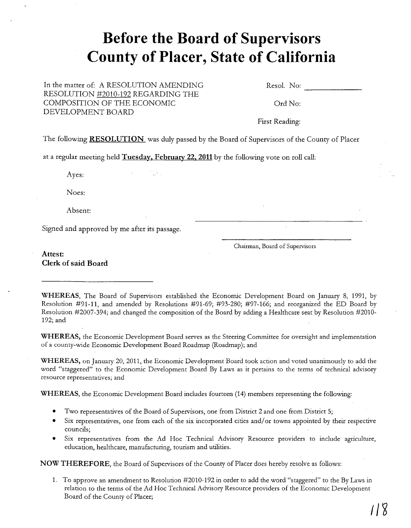# **Before the Board of Supervisors County of Placer, State of California**

In the matter of: A RESOLUTION AMENDING RESOLUTION #2010-192 REGARDING THE COMPOSITION OF THE ECONOMIC DEVELOPMENT BOARD

Resol. No: --------

Ord No:

First Reading:

The following **RESOLUTION** was duly passed by the Board of Supervisors of the County of Placer

at a regular meeting held **Tuesday. February 22. 2011** by the following vote on roll call:

Ayes:

Noes:

Absent:

Signed and approved by me after its passage.

Chairman, Board of Supervisors

**Attest: Clerk of said Board** 

**WHEREAS,** The Board of Supervisors established the Economic Development Board on January 8, 1991, by Resolution #91-11, and amended by Resolutions #91-69; #93-280; #97-166; and reorganized the ED Board by Resolution #2007-394; and changed the composition of the Board by adding a Healthcare seat by Resolution #2010- 192; and

**WHEREAS,** the Economic Development Board serves as the Steering Committee for oversight and implementation of a county-wide Economic Development Board Roadmap (Roadmap); and

**WHEREAS,** on January 20, 2011, the Economic Development Board took action and voted unanimously to add the word "staggered" to the Economic Development Board By Laws as it pertains to the terms of technical advisory resource representatives; and

**WHEREAS,** the Economic Development Board includes fourteen (14) members representing the following:

- Two representatives of the Board of Supervisors, one from District 2 and one from District 5;
- Six representatives, one from each of the six incorporated cities and/or towns appointed by their respective councils;
- Six representatives from the Ad Hoc Technical Advisory Resource providers to include agriculture, education, healthcare, manufacturing, tourism and utilities.

**NOW THEREFORE,** the Board of Supervisors of the County of Placer does hereby resolve as follows:

1. To approve an amendment to Resolution #2010-192 in order to add the word "staggered" to the By Laws in relation to the terms of the Ad Hoc Technical Advisory Resource providers of the Economic Development Board of the County of Placer;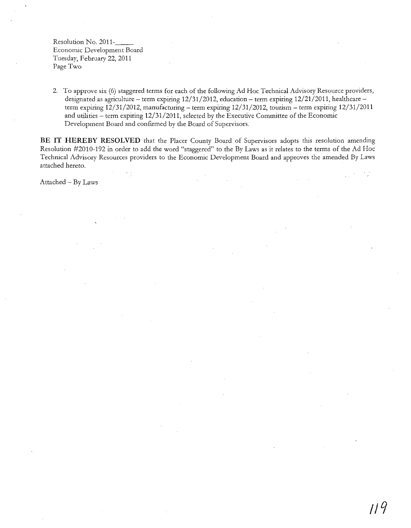Resolution No. 2011-\_\_ Economic Development Board Tuesday, February 22, 2011 Page Two

2. To approve six (6) staggered terms for each of the following Ad Hoc Technical Advisory Resource providers, designated as agriculture - term expiring 12/31/2012, education - term expiring 12/21/2011, healthcare term expiring 12/31/2012, manufacturing - term expiring 12/31/2012, tourism - term expiring 12/31/2011 and utilities – term expiring  $12/31/2011$ , selected by the Executive Committee of the Economic Development Board and confirmed by the Board of Supervisors.

**BE IT HEREBY RESOLVED** that the Placer County Board of Supervisors adopts this resolution amending Resolution #2010-192 in order to add the word "staggered" to the By Laws as it relates to the terms of the Ad Hoc Technical Advisory Resources providers to the Economic Development Board and approves the amended By Laws attached hereto.

Attached - By Laws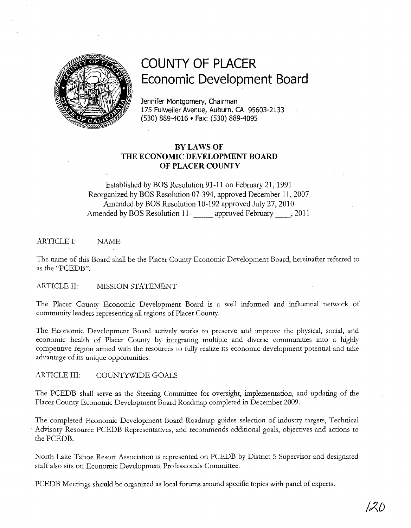

## **COUNTY OF PLACER Economic Development Board**

Jennifer Montgomery, Chairman 175 Fulweiler Avenue, Auburn, CA 95603-2133 (530) 889-4016 • Fax: (530) 889-4095

### BYLAWS OF **THE ECONOMIC DEVELOPMENT BOARD OF PLACER COUNTY**

Established by BOS Resolution 91-11 on February 21, 1991 Reorganized by BOS Resolution 07-394, approved December 11,2007 Amended by BOS Resolution 10-192 approved July 27,2010 Amended by BOS Resolution 11- approved February , 2011

#### ARTICLE I: NAME

The name of this Board shall be the Placer County Economic Development Board, hereinafter referred to as the "PCEDB".

ARTICLE II: MISSION STATEMENT

The Placer County Economic Development Board is a well informed and influential network of community leaders representing all regions of Placer County.

The Economic Development Board actively works to preserve and improve the physical, social, and economic health of Placer County by integrating multiple and diverse communities into a highly competitive region armed with the resources to fully realize its economic development potential and take advantage of its unique opportunities.

ARTICLE III: COUNTYWIDE GOALS

The PCEDB shall serve as the Steering Committee for oversight, implementation, and updating of the Placer County Economic Development Board Roadmap completed in December 2009.

The completed Economic Development Board Roadmap guides selection of industry targets, Technical . Advisory Resource PCEDB Representatives, and recommends additional goals, objectives and actions to the PCEDB.

North Lake Tahoe Resort Association is represented on PCEDB by District 5 Supervisor and designated staff also sits on Economic Development Professionals Committee.

PCEDB Meetings should be organized as local forums around specific topics with panel of experts.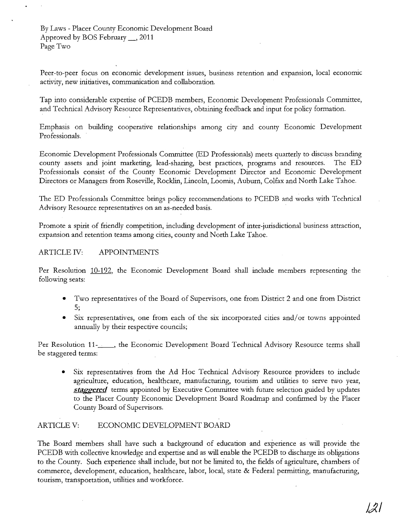Peer-to-peer focus on economic development issues, business retention and expansion, local economic activity, new initiatives, communication and collaboration.

Tap into considerable expertise of PCEDB members, Economic Development Professionals Committee, and Technical Advisory Resource Representatives, obtaining feedback and input for policy formation.

Emphasis on building cooperative relationships among city and county Economic Development Professionals.

Economic Development Professionals Committee (ED Professionals) meets quarterly to discuss branding county assets and joint marketing, lead-sharing, best practices, programs and resources. The ED Professionals consist of the County Economic Development Director and Economic Development Directors or Managers from Roseville, Rocklin, Lincoln, Loomis, Auburn, Colfax and North Lake Tahoe.

The ED Professionals Committee brings policy recommendations to PCEDB and works with Technical Advisory Resource representatives on an as-needed basis.

Promote a spirit of friendly competition, including development of inter-jurisdictional business attraction, expansion and retention teams among cities, county and North Lake Tahoe.

### ARTICLE IV: APPOINTMENTS

Per Resolution 10-192, the Economic Development Board shall include members representing the following seats:

- Two representatives of the Board of Supervisors, one from District 2 and one from District 5;
- Six representatives, one from each of the six incorporated cities and/or towns appointed annually by their respective councils;

Per Resolution 11-<sub>------</sub>, the Economic Development Board Technical Advisory Resource terms shall be staggered terms:

Six representatives from the Ad Hoc Technical Advisory Resource providers to include agriculture, education, healthcare, manufacturing, tourism and utilities to serve two year, **staggered** terms appointed by Executive Committee with future selection guided by updates to the Placer County Economic Development Board Roadmap and confirmed by the Placer County Board of Supervisors.

### ARTICLE V: ECONOMIC DEVELOPMENT BOARD

The Board members shall have such a background of education and experience as will provide the PCEDB with collective knowledge and expertise and as will enable the PCEDB to discharge its obligations to the County. Such experience shall include, but not be limited to, the fields of agriculture, chambers of commerce, development, education, healthcare, labor, local, state & Federal permitting, manufacturing, tourism, transportation, utilities and workforce.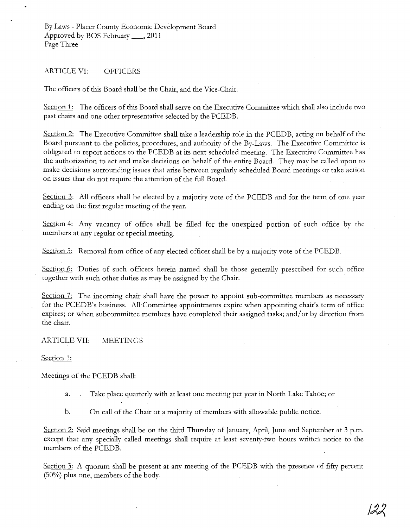#### ARTICLE VI: OFFICERS

The officers of this Board shall be the Chair, and the Vice-Chair.

Section 1: The officers of this Board shall serve on the Executive Committee which shall also include two past chairs and one other representative selected by the PCEDB.

Section 2: The Executive Committee shall take a leadership role in the PCEDB, acting on behalf of the Board pursuant to the policies, procedures, and authority of the By-Laws. The Executive Committee is obligated to report actions to the PCEDB at its next scheduled meeting. The Executive Committee has the authorization to act and make decisions on behalf of the entire Board. They may be called upon to make decisions surrounding issues that arise between regularly scheduled Board meetings or take action on issues that do not require the attention of the full Board.

Section 3: All officers shall be elected by a majority vote of the PCEDB and for the term of one year ending on the first regular meeting of the year.

Section  $4$ : Any vacancy of office shall be filled for the unexpired portion of such office by the members at any regular or special meeting.

Section 5: Removal from office of any elected officer shall be by a majority vote of the PCEDB.

Section 6: Duties of such officers herein named shall be those generally prescribed for such office together with such other duties as may be assigned by the Chair.

Section 7: The incoming chair shall have the power to appoint sub-committee members as necessary for the PCEDB's business. All'Committee appointments expire when appointing chair's term of office expires; or when subcommittee members have completed their assigned tasks; and/or by direction from the chair.

ARTICLE VII: MEETINGS

Section 1:

Meetings of the PCEDB shall:

a. Take place quarterly with at least one meeting per year in North Lake Tahoe; or

b. On call of the Chair or a majority of members with allowable public notice.

Section 2: Said meetings shall be on the third Thursday of January, April, June and September at 3 p.m. except that any specially called meetings shall require at least seventy-two hours written notice to the members of the PCEDB.

Section 3: A quorum shall be present at any meeting of the PCEDB with the presence of fifty percent (50%) plus one, members of the body.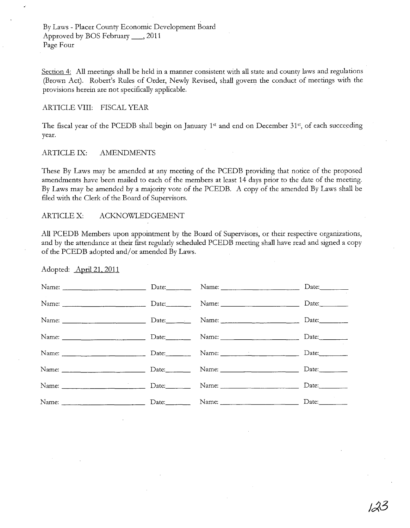By Laws - Placer County Economic Development Board Approved by BOS February \_, 2011 Page Four

Section 4: All meetings shall be held in a manner consistent with all state and county laws and regulations (Brown Act). Robert's Rules of Order, Newly Revised, shall govern the conduct of meetings with the provisions herein are not specifically applicable.

#### ARTICLE VIII: FISCAL YEAR

The fiscal year of the PCEDB shall begin on January 1st and end on December 31st, of each succeeding year.

#### ARTICLE IX: AMENDMENTS

These By Laws may be amended at any meeting of the PCEDB providing that notice of the proposed amendments have been mailed to each of the members at least 14 days prior to the date of the meeting. By Laws may be amended by a majority vote of the PCEDB. A copy of the amended By Laws shall be filed with the Clerk of the Board of Supervisors.

#### ARTICLE X: ACKNOWLEDGEMENT

All PCEDB Members upon appointment by the Board of Supervisors, or their respective organizations, and by the attendance at their first regularly scheduled PCEDB meeting shall have read and signed a copy of the PCEDB adopted and/or amended By Laws.

Adopted: April 21. 2011

|                                                                                                                                                                                                                               | Date: Name: Name: | Date:          |
|-------------------------------------------------------------------------------------------------------------------------------------------------------------------------------------------------------------------------------|-------------------|----------------|
|                                                                                                                                                                                                                               |                   | Date:          |
| Name: Name: Name: Name: Name: Name: Name: Name: Name: Name: Name: Name: Name: Name: Name: Name: Name: Name: Name: Name: Name: Name: Name: Name: Name: Name: Name: Name: Name: Name: Name: Name: Name: Name: Name: Name: Name: |                   |                |
|                                                                                                                                                                                                                               |                   | Date:          |
| Name: Date: Date: Name: Name: Date: Date:                                                                                                                                                                                     |                   |                |
| Name: Date: Date: Name: Name: Date: Date:                                                                                                                                                                                     |                   |                |
| Name: Name: Name: Name: Name: Name: Name: Name: Name: Name: Name: Name: Name: Name: Name: Name: Name: Name: Name: Name: Name: Name: Name: Name: Name: Name: Name: Name: Name: Name: Name: Name: Name: Name: Name: Name: Name: |                   | Date:          |
|                                                                                                                                                                                                                               |                   | Date:_________ |